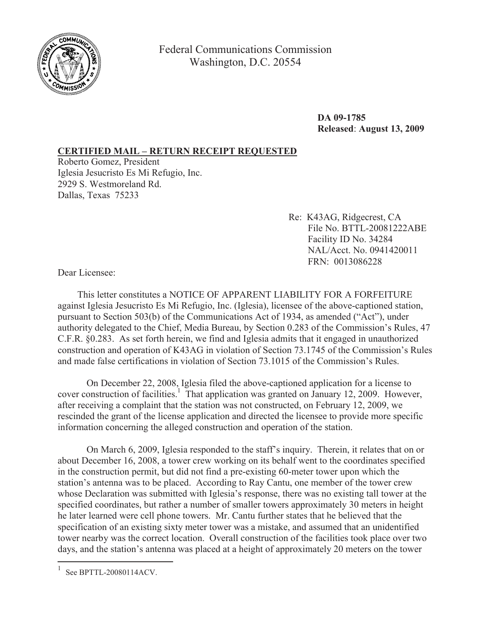

Federal Communications Commission Washington, D.C. 20554

> **DA 09-1785 Released**: **August 13, 2009**

## **CERTIFIED MAIL – RETURN RECEIPT REQUESTED**

Roberto Gomez, President Iglesia Jesucristo Es Mi Refugio, Inc. 2929 S. Westmoreland Rd. Dallas, Texas 75233

> Re: K43AG, Ridgecrest, CA File No. BTTL-20081222ABE Facility ID No. 34284 NAL/Acct. No. 0941420011 FRN: 0013086228

Dear Licensee:

This letter constitutes a NOTICE OF APPARENT LIABILITY FOR A FORFEITURE against Iglesia Jesucristo Es Mi Refugio, Inc. (Iglesia), licensee of the above-captioned station, pursuant to Section 503(b) of the Communications Act of 1934, as amended ("Act"), under authority delegated to the Chief, Media Bureau, by Section 0.283 of the Commission's Rules, 47 C.F.R. §0.283. As set forth herein, we find and Iglesia admits that it engaged in unauthorized construction and operation of K43AG in violation of Section 73.1745 of the Commission's Rules and made false certifications in violation of Section 73.1015 of the Commission's Rules.

On December 22, 2008, Iglesia filed the above-captioned application for a license to cover construction of facilities.<sup>1</sup> That application was granted on January 12, 2009. However, after receiving a complaint that the station was not constructed, on February 12, 2009, we rescinded the grant of the license application and directed the licensee to provide more specific information concerning the alleged construction and operation of the station.

On March 6, 2009, Iglesia responded to the staff's inquiry. Therein, it relates that on or about December 16, 2008, a tower crew working on its behalf went to the coordinates specified in the construction permit, but did not find a pre-existing 60-meter tower upon which the station's antenna was to be placed. According to Ray Cantu, one member of the tower crew whose Declaration was submitted with Iglesia's response, there was no existing tall tower at the specified coordinates, but rather a number of smaller towers approximately 30 meters in height he later learned were cell phone towers. Mr. Cantu further states that he believed that the specification of an existing sixty meter tower was a mistake, and assumed that an unidentified tower nearby was the correct location. Overall construction of the facilities took place over two days, and the station's antenna was placed at a height of approximately 20 meters on the tower

<sup>&</sup>lt;sup>1</sup> See BPTTL-20080114ACV.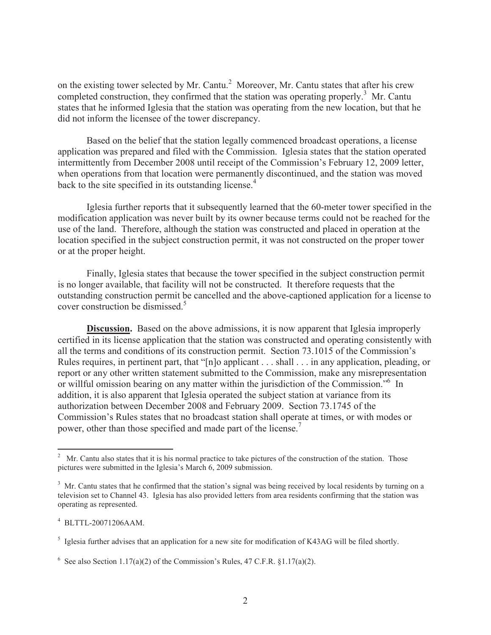on the existing tower selected by Mr. Cantu.<sup>2</sup> Moreover, Mr. Cantu states that after his crew completed construction, they confirmed that the station was operating properly.<sup>3</sup> Mr. Cantu states that he informed Iglesia that the station was operating from the new location, but that he did not inform the licensee of the tower discrepancy.

Based on the belief that the station legally commenced broadcast operations, a license application was prepared and filed with the Commission. Iglesia states that the station operated intermittently from December 2008 until receipt of the Commission's February 12, 2009 letter, when operations from that location were permanently discontinued, and the station was moved back to the site specified in its outstanding license.<sup>4</sup>

Iglesia further reports that it subsequently learned that the 60-meter tower specified in the modification application was never built by its owner because terms could not be reached for the use of the land. Therefore, although the station was constructed and placed in operation at the location specified in the subject construction permit, it was not constructed on the proper tower or at the proper height.

Finally, Iglesia states that because the tower specified in the subject construction permit is no longer available, that facility will not be constructed. It therefore requests that the outstanding construction permit be cancelled and the above-captioned application for a license to cover construction be dismissed.<sup>5</sup>

**Discussion.** Based on the above admissions, it is now apparent that Iglesia improperly certified in its license application that the station was constructed and operating consistently with all the terms and conditions of its construction permit. Section 73.1015 of the Commission's Rules requires, in pertinent part, that "[n]o applicant . . . shall . . . in any application, pleading, or report or any other written statement submitted to the Commission, make any misrepresentation or willful omission bearing on any matter within the jurisdiction of the Commission.<sup>56</sup> In addition, it is also apparent that Iglesia operated the subject station at variance from its authorization between December 2008 and February 2009. Section 73.1745 of the Commission's Rules states that no broadcast station shall operate at times, or with modes or power, other than those specified and made part of the license.<sup>7</sup>

 $2$  Mr. Cantu also states that it is his normal practice to take pictures of the construction of the station. Those pictures were submitted in the Iglesia's March 6, 2009 submission.

<sup>&</sup>lt;sup>3</sup> Mr. Cantu states that he confirmed that the station's signal was being received by local residents by turning on a television set to Channel 43. Iglesia has also provided letters from area residents confirming that the station was operating as represented.

<sup>4</sup> BLTTL-20071206AAM.

<sup>&</sup>lt;sup>5</sup> Iglesia further advises that an application for a new site for modification of K43AG will be filed shortly.

<sup>&</sup>lt;sup>6</sup> See also Section 1.17(a)(2) of the Commission's Rules, 47 C.F.R. §1.17(a)(2).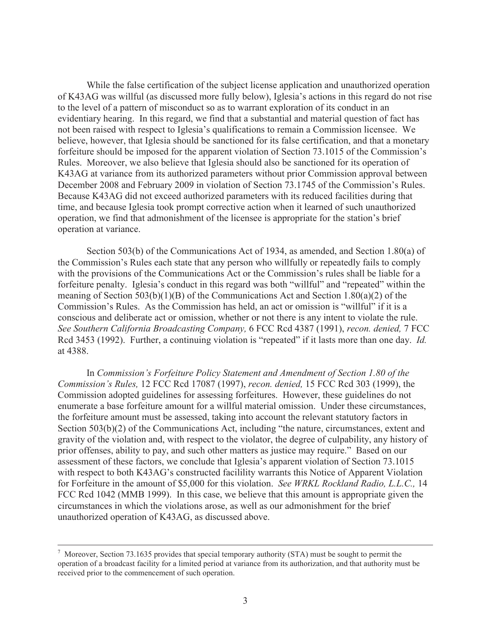While the false certification of the subject license application and unauthorized operation of K43AG was willful (as discussed more fully below), Iglesia's actions in this regard do not rise to the level of a pattern of misconduct so as to warrant exploration of its conduct in an evidentiary hearing. In this regard, we find that a substantial and material question of fact has not been raised with respect to Iglesia's qualifications to remain a Commission licensee. We believe, however, that Iglesia should be sanctioned for its false certification, and that a monetary forfeiture should be imposed for the apparent violation of Section 73.1015 of the Commission's Rules. Moreover, we also believe that Iglesia should also be sanctioned for its operation of K43AG at variance from its authorized parameters without prior Commission approval between December 2008 and February 2009 in violation of Section 73.1745 of the Commission's Rules. Because K43AG did not exceed authorized parameters with its reduced facilities during that time, and because Iglesia took prompt corrective action when it learned of such unauthorized operation, we find that admonishment of the licensee is appropriate for the station's brief operation at variance.

Section 503(b) of the Communications Act of 1934, as amended, and Section 1.80(a) of the Commission's Rules each state that any person who willfully or repeatedly fails to comply with the provisions of the Communications Act or the Commission's rules shall be liable for a forfeiture penalty. Iglesia's conduct in this regard was both "willful" and "repeated" within the meaning of Section 503(b)(1)(B) of the Communications Act and Section 1.80(a)(2) of the Commission's Rules. As the Commission has held, an act or omission is "willful" if it is a conscious and deliberate act or omission, whether or not there is any intent to violate the rule. *See Southern California Broadcasting Company,* 6 FCC Rcd 4387 (1991), *recon. denied,* 7 FCC Rcd 3453 (1992). Further, a continuing violation is "repeated" if it lasts more than one day. *Id.* at 4388.

In *Commission's Forfeiture Policy Statement and Amendment of Section 1.80 of the Commission's Rules,* 12 FCC Rcd 17087 (1997), *recon. denied,* 15 FCC Rcd 303 (1999), the Commission adopted guidelines for assessing forfeitures. However, these guidelines do not enumerate a base forfeiture amount for a willful material omission. Under these circumstances, the forfeiture amount must be assessed, taking into account the relevant statutory factors in Section 503(b)(2) of the Communications Act, including "the nature, circumstances, extent and gravity of the violation and, with respect to the violator, the degree of culpability, any history of prior offenses, ability to pay, and such other matters as justice may require." Based on our assessment of these factors, we conclude that Iglesia's apparent violation of Section 73.1015 with respect to both K43AG's constructed facilility warrants this Notice of Apparent Violation for Forfeiture in the amount of \$5,000 for this violation. *See WRKL Rockland Radio, L.L.C.,* 14 FCC Rcd 1042 (MMB 1999). In this case, we believe that this amount is appropriate given the circumstances in which the violations arose, as well as our admonishment for the brief unauthorized operation of K43AG, as discussed above.

<sup>&</sup>lt;sup>7</sup> Moreover, Section 73.1635 provides that special temporary authority (STA) must be sought to permit the operation of a broadcast facility for a limited period at variance from its authorization, and that authority must be received prior to the commencement of such operation.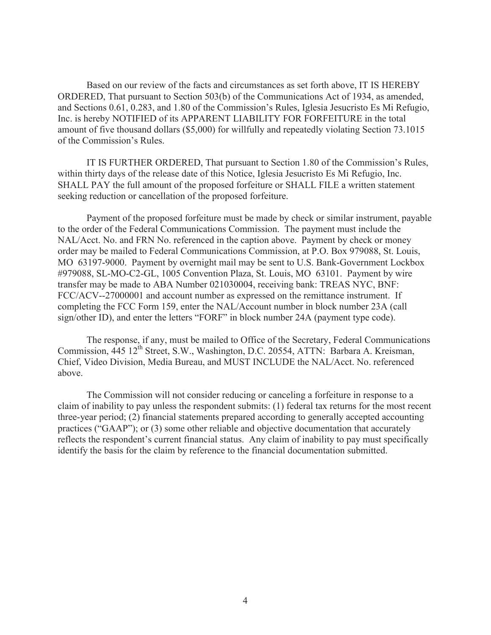Based on our review of the facts and circumstances as set forth above, IT IS HEREBY ORDERED, That pursuant to Section 503(b) of the Communications Act of 1934, as amended, and Sections 0.61, 0.283, and 1.80 of the Commission's Rules, Iglesia Jesucristo Es Mi Refugio, Inc. is hereby NOTIFIED of its APPARENT LIABILITY FOR FORFEITURE in the total amount of five thousand dollars (\$5,000) for willfully and repeatedly violating Section 73.1015 of the Commission's Rules.

IT IS FURTHER ORDERED, That pursuant to Section 1.80 of the Commission's Rules, within thirty days of the release date of this Notice, Iglesia Jesucristo Es Mi Refugio, Inc. SHALL PAY the full amount of the proposed forfeiture or SHALL FILE a written statement seeking reduction or cancellation of the proposed forfeiture.

Payment of the proposed forfeiture must be made by check or similar instrument, payable to the order of the Federal Communications Commission. The payment must include the NAL/Acct. No. and FRN No. referenced in the caption above. Payment by check or money order may be mailed to Federal Communications Commission, at P.O. Box 979088, St. Louis, MO 63197-9000. Payment by overnight mail may be sent to U.S. Bank-Government Lockbox #979088, SL-MO-C2-GL, 1005 Convention Plaza, St. Louis, MO 63101. Payment by wire transfer may be made to ABA Number 021030004, receiving bank: TREAS NYC, BNF: FCC/ACV--27000001 and account number as expressed on the remittance instrument. If completing the FCC Form 159, enter the NAL/Account number in block number 23A (call sign/other ID), and enter the letters "FORF" in block number 24A (payment type code).

The response, if any, must be mailed to Office of the Secretary, Federal Communications Commission, 445 12<sup>th</sup> Street, S.W., Washington, D.C. 20554, ATTN: Barbara A. Kreisman, Chief, Video Division, Media Bureau, and MUST INCLUDE the NAL/Acct. No. referenced above.

The Commission will not consider reducing or canceling a forfeiture in response to a claim of inability to pay unless the respondent submits: (1) federal tax returns for the most recent three-year period; (2) financial statements prepared according to generally accepted accounting practices ("GAAP"); or (3) some other reliable and objective documentation that accurately reflects the respondent's current financial status. Any claim of inability to pay must specifically identify the basis for the claim by reference to the financial documentation submitted.